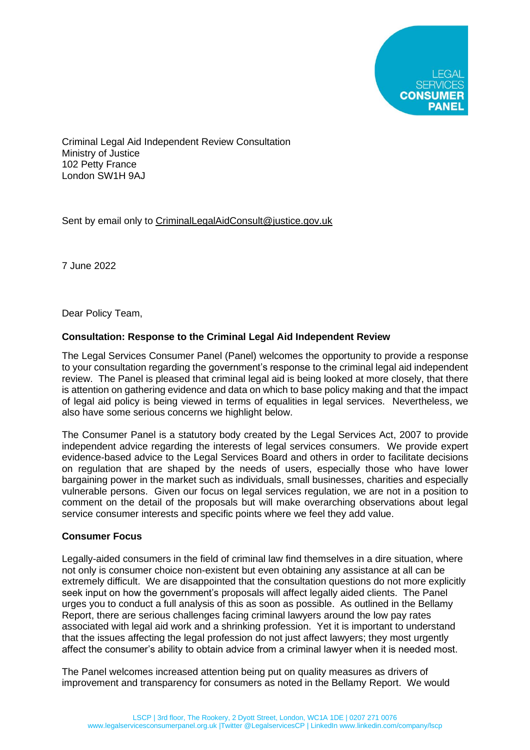

Criminal Legal Aid Independent Review Consultation Ministry of Justice 102 Petty France London SW1H 9AJ

Sent by email only to [CriminalLegalAidConsult@justice.gov.uk](mailto:CriminalLegalAidConsult@justice.gov.uk)

7 June 2022

Dear Policy Team,

### **Consultation: Response to the Criminal Legal Aid Independent Review**

The Legal Services Consumer Panel (Panel) welcomes the opportunity to provide a response to your consultation regarding the government's response to the criminal legal aid independent review. The Panel is pleased that criminal legal aid is being looked at more closely, that there is attention on gathering evidence and data on which to base policy making and that the impact of legal aid policy is being viewed in terms of equalities in legal services. Nevertheless, we also have some serious concerns we highlight below.

The Consumer Panel is a statutory body created by the Legal Services Act, 2007 to provide independent advice regarding the interests of legal services consumers. We provide expert evidence-based advice to the Legal Services Board and others in order to facilitate decisions on regulation that are shaped by the needs of users, especially those who have lower bargaining power in the market such as individuals, small businesses, charities and especially vulnerable persons. Given our focus on legal services regulation, we are not in a position to comment on the detail of the proposals but will make overarching observations about legal service consumer interests and specific points where we feel they add value.

### **Consumer Focus**

Legally-aided consumers in the field of criminal law find themselves in a dire situation, where not only is consumer choice non-existent but even obtaining any assistance at all can be extremely difficult. We are disappointed that the consultation questions do not more explicitly seek input on how the government's proposals will affect legally aided clients. The Panel urges you to conduct a full analysis of this as soon as possible. As outlined in the Bellamy Report, there are serious challenges facing criminal lawyers around the low pay rates associated with legal aid work and a shrinking profession. Yet it is important to understand that the issues affecting the legal profession do not just affect lawyers; they most urgently affect the consumer's ability to obtain advice from a criminal lawyer when it is needed most.

The Panel welcomes increased attention being put on quality measures as drivers of improvement and transparency for consumers as noted in the Bellamy Report. We would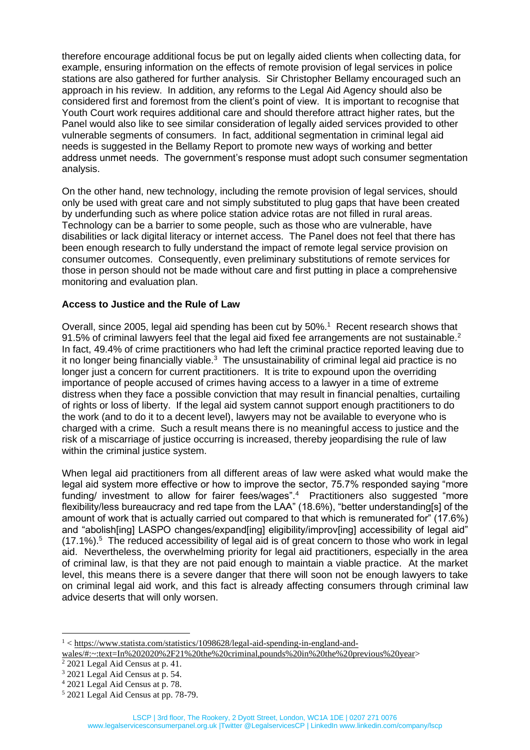therefore encourage additional focus be put on legally aided clients when collecting data, for example, ensuring information on the effects of remote provision of legal services in police stations are also gathered for further analysis. Sir Christopher Bellamy encouraged such an approach in his review. In addition, any reforms to the Legal Aid Agency should also be considered first and foremost from the client's point of view. It is important to recognise that Youth Court work requires additional care and should therefore attract higher rates, but the Panel would also like to see similar consideration of legally aided services provided to other vulnerable segments of consumers. In fact, additional segmentation in criminal legal aid needs is suggested in the Bellamy Report to promote new ways of working and better address unmet needs. The government's response must adopt such consumer segmentation analysis.

On the other hand, new technology, including the remote provision of legal services, should only be used with great care and not simply substituted to plug gaps that have been created by underfunding such as where police station advice rotas are not filled in rural areas. Technology can be a barrier to some people, such as those who are vulnerable, have disabilities or lack digital literacy or internet access. The Panel does not feel that there has been enough research to fully understand the impact of remote legal service provision on consumer outcomes. Consequently, even preliminary substitutions of remote services for those in person should not be made without care and first putting in place a comprehensive monitoring and evaluation plan.

#### **Access to Justice and the Rule of Law**

Overall, since 2005, legal aid spending has been cut by 50%.<sup>1</sup> Recent research shows that 91.5% of criminal lawyers feel that the legal aid fixed fee arrangements are not sustainable.<sup>2</sup> In fact, 49.4% of crime practitioners who had left the criminal practice reported leaving due to it no longer being financially viable.<sup>3</sup> The unsustainability of criminal legal aid practice is no longer just a concern for current practitioners. It is trite to expound upon the overriding importance of people accused of crimes having access to a lawyer in a time of extreme distress when they face a possible conviction that may result in financial penalties, curtailing of rights or loss of liberty. If the legal aid system cannot support enough practitioners to do the work (and to do it to a decent level), lawyers may not be available to everyone who is charged with a crime. Such a result means there is no meaningful access to justice and the risk of a miscarriage of justice occurring is increased, thereby jeopardising the rule of law within the criminal justice system.

When legal aid practitioners from all different areas of law were asked what would make the legal aid system more effective or how to improve the sector, 75.7% responded saying "more funding/ investment to allow for fairer fees/wages".<sup>4</sup> Practitioners also suggested "more flexibility/less bureaucracy and red tape from the LAA" (18.6%), "better understanding[s] of the amount of work that is actually carried out compared to that which is remunerated for" (17.6%) and "abolish[ing] LASPO changes/expand[ing] eligibility/improv[ing] accessibility of legal aid"  $(17.1\%)$ <sup>5</sup> The reduced accessibility of legal aid is of great concern to those who work in legal aid. Nevertheless, the overwhelming priority for legal aid practitioners, especially in the area of criminal law, is that they are not paid enough to maintain a viable practice. At the market level, this means there is a severe danger that there will soon not be enough lawyers to take on criminal legal aid work, and this fact is already affecting consumers through criminal law advice deserts that will only worsen.

<sup>1</sup> < [https://www.statista.com/statistics/1098628/legal-aid-spending-in-england-and-](https://www.statista.com/statistics/1098628/legal-aid-spending-in-england-and-wales/#:~:text=In%202020%2F21%20the%20criminal,pounds%20in%20the%20previous%20year)

[wales/#:~:text=In%202020%2F21%20the%20criminal,pounds%20in%20the%20previous%20year>](https://www.statista.com/statistics/1098628/legal-aid-spending-in-england-and-wales/#:~:text=In%202020%2F21%20the%20criminal,pounds%20in%20the%20previous%20year)

<sup>2</sup> 2021 Legal Aid Census at p. 41.

<sup>3</sup> 2021 Legal Aid Census at p. 54.

<sup>4</sup> 2021 Legal Aid Census at p. 78.

<sup>5</sup> 2021 Legal Aid Census at pp. 78-79.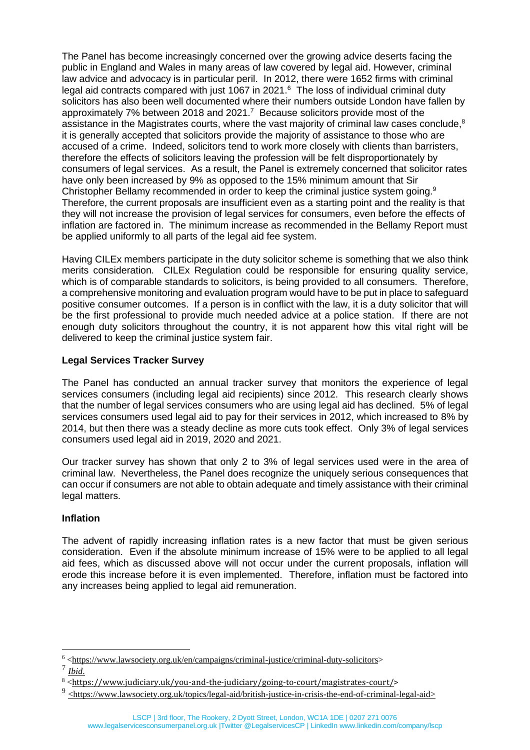The Panel has become increasingly concerned over the growing advice deserts facing the public in England and Wales in many areas of law covered by legal aid. However, criminal law advice and advocacy is in particular peril. In 2012, there were 1652 firms with criminal legal aid contracts compared with just 1067 in 2021. $6$  The loss of individual criminal duty solicitors has also been well documented where their numbers outside London have fallen by approximately 7% between 2018 and 2021.<sup>7</sup> Because solicitors provide most of the assistance in the Magistrates courts, where the vast majority of criminal law cases conclude, $8$ it is generally accepted that solicitors provide the majority of assistance to those who are accused of a crime. Indeed, solicitors tend to work more closely with clients than barristers, therefore the effects of solicitors leaving the profession will be felt disproportionately by consumers of legal services. As a result, the Panel is extremely concerned that solicitor rates have only been increased by 9% as opposed to the 15% minimum amount that Sir Christopher Bellamy recommended in order to keep the criminal justice system going.<sup>9</sup> Therefore, the current proposals are insufficient even as a starting point and the reality is that they will not increase the provision of legal services for consumers, even before the effects of inflation are factored in. The minimum increase as recommended in the Bellamy Report must be applied uniformly to all parts of the legal aid fee system.

Having CILEx members participate in the duty solicitor scheme is something that we also think merits consideration. CILEx Regulation could be responsible for ensuring quality service, which is of comparable standards to solicitors, is being provided to all consumers. Therefore, a comprehensive monitoring and evaluation program would have to be put in place to safeguard positive consumer outcomes. If a person is in conflict with the law, it is a duty solicitor that will be the first professional to provide much needed advice at a police station. If there are not enough duty solicitors throughout the country, it is not apparent how this vital right will be delivered to keep the criminal justice system fair.

# **Legal Services Tracker Survey**

The Panel has conducted an annual tracker survey that monitors the experience of legal services consumers (including legal aid recipients) since 2012. This research clearly shows that the number of legal services consumers who are using legal aid has declined. 5% of legal services consumers used legal aid to pay for their services in 2012, which increased to 8% by 2014, but then there was a steady decline as more cuts took effect. Only 3% of legal services consumers used legal aid in 2019, 2020 and 2021.

Our tracker survey has shown that only 2 to 3% of legal services used were in the area of criminal law. Nevertheless, the Panel does recognize the uniquely serious consequences that can occur if consumers are not able to obtain adequate and timely assistance with their criminal legal matters.

# **Inflation**

The advent of rapidly increasing inflation rates is a new factor that must be given serious consideration. Even if the absolute minimum increase of 15% were to be applied to all legal aid fees, which as discussed above will not occur under the current proposals, inflation will erode this increase before it is even implemented. Therefore, inflation must be factored into any increases being applied to legal aid remuneration.

<sup>6</sup> [<https://www.lawsociety.org.uk/en/campaigns/criminal-justice/criminal-duty-solicitors>](https://www.lawsociety.org.uk/en/campaigns/criminal-justice/criminal-duty-solicitors)

<sup>7</sup> *Ibid*.

<sup>8&</sup>lt;[https://www.judiciary.uk/you-and-the-judiciary/going-to-court/magistrates-court/>](https://www.judiciary.uk/you-and-the-judiciary/going-to-court/magistrates-court/)

<sup>&</sup>lt;sup>9</sup> [<https://www.lawsociety.org.uk/topics/legal-aid/british-justice-in-crisis-the-end-of-criminal-legal-aid>](https://www.lawsociety.org.uk/topics/legal-aid/british-justice-in-crisis-the-end-of-criminal-legal-aid)